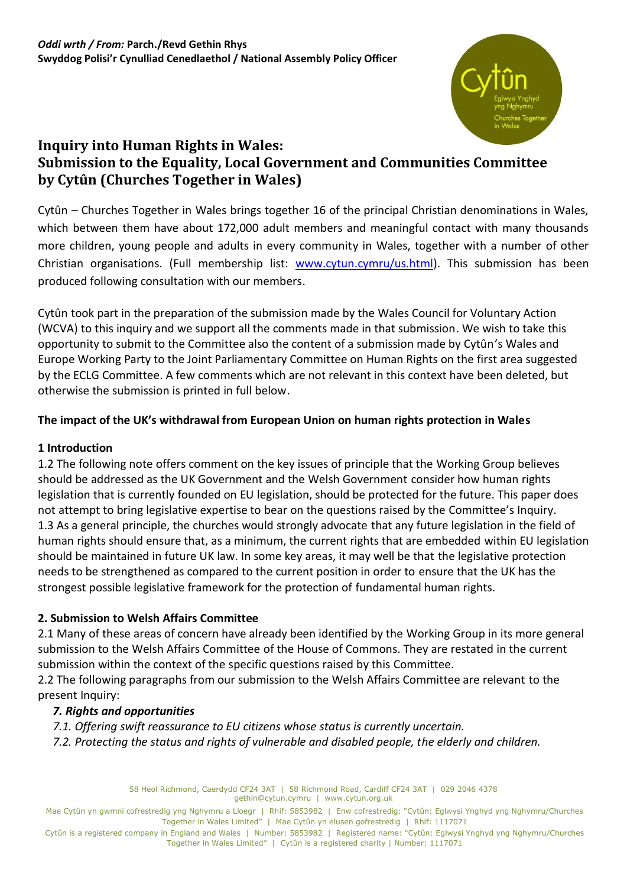

# **Inquiry into Human Rights in Wales: Submission to the Equality, Local Government and Communities Committee by Cytûn (Churches Together in Wales)**

Cytûn – Churches Together in Wales brings together 16 of the principal Christian denominations in Wales, which between them have about 172,000 adult members and meaningful contact with many thousands more children, young people and adults in every community in Wales, together with a number of other Christian organisations. (Full membership list: [www.cytun.cymru/us.html\)](http://www.cytun.cymru/us.html). This submission has been produced following consultation with our members.

Cytûn took part in the preparation of the submission made by the Wales Council for Voluntary Action (WCVA) to this inquiry and we support all the comments made in that submission. We wish to take this opportunity to submit to the Committee also the content of a submission made by Cytûn's Wales and Europe Working Party to the Joint Parliamentary Committee on Human Rights on the first area suggested by the ECLG Committee. A few comments which are not relevant in this context have been deleted, but otherwise the submission is printed in full below.

# **The impact of the UK's withdrawal from European Union on human rights protection in Wales**

### **1 Introduction**

1.2 The following note offers comment on the key issues of principle that the Working Group believes should be addressed as the UK Government and the Welsh Government consider how human rights legislation that is currently founded on EU legislation, should be protected for the future. This paper does not attempt to bring legislative expertise to bear on the questions raised by the Committee's Inquiry. 1.3 As a general principle, the churches would strongly advocate that any future legislation in the field of human rights should ensure that, as a minimum, the current rights that are embedded within EU legislation should be maintained in future UK law. In some key areas, it may well be that the legislative protection needs to be strengthened as compared to the current position in order to ensure that the UK has the strongest possible legislative framework for the protection of fundamental human rights.

### **2. Submission to Welsh Affairs Committee**

2.1 Many of these areas of concern have already been identified by the Working Group in its more general submission to the Welsh Affairs Committee of the House of Commons. They are restated in the current submission within the context of the specific questions raised by this Committee.

2.2 The following paragraphs from our submission to the Welsh Affairs Committee are relevant to the present Inquiry:

### *7. Rights and opportunities*

*7.1. Offering swift reassurance to EU citizens whose status is currently uncertain.* 

*7.2. Protecting the status and rights of vulnerable and disabled people, the elderly and children.* 

58 Heol Richmond, Caerdydd CF24 3AT | 58 Richmond Road, Cardiff CF24 3AT | 029 2046 4378 gethin@cytun.cymru | www.cytun.org.uk

Mae Cytûn yn gwmni cofrestredig yng Nghymru a Lloegr | Rhif: 5853982 | Enw cofrestredig: "Cytûn: Eglwysi Ynghyd yng Nghymru/Churches Together in Wales Limited" | Mae Cytûn yn elusen gofrestredig | Rhif: 1117071

Cytûn is a registered company in England and Wales | Number: 5853982 | Registered name: "Cytûn: Eglwysi Ynghyd yng Nghymru/Churches Together in Wales Limited" | Cytûn is a registered charity | Number: 1117071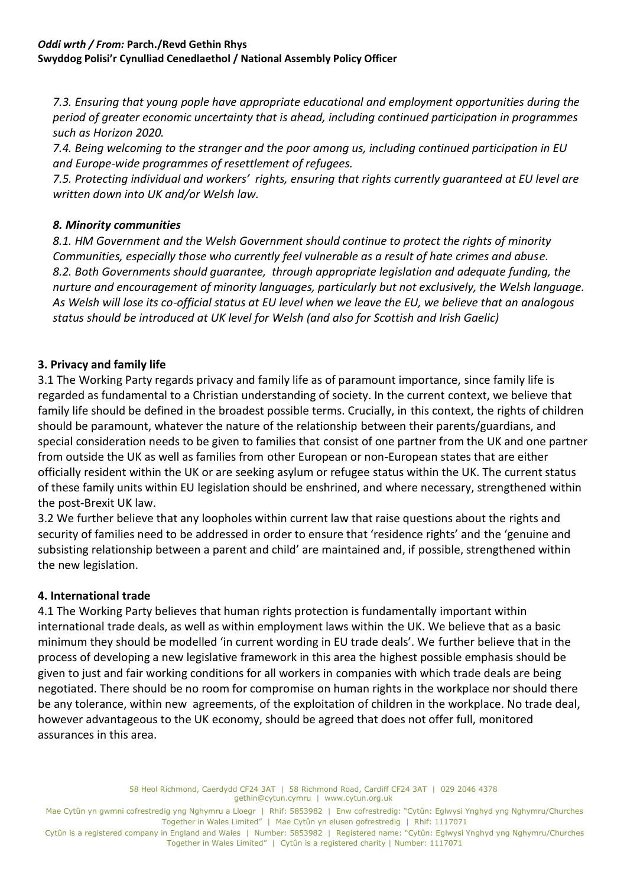*7.3. Ensuring that young pople have appropriate educational and employment opportunities during the period of greater economic uncertainty that is ahead, including continued participation in programmes such as Horizon 2020.* 

*7.4. Being welcoming to the stranger and the poor among us, including continued participation in EU and Europe-wide programmes of resettlement of refugees.* 

*7.5. Protecting individual and workers' rights, ensuring that rights currently guaranteed at EU level are written down into UK and/or Welsh law.* 

# *8. Minority communities*

*8.1. HM Government and the Welsh Government should continue to protect the rights of minority Communities, especially those who currently feel vulnerable as a result of hate crimes and abuse. 8.2. Both Governments should guarantee, through appropriate legislation and adequate funding, the nurture and encouragement of minority languages, particularly but not exclusively, the Welsh language. As Welsh will lose its co-official status at EU level when we leave the EU, we believe that an analogous status should be introduced at UK level for Welsh (and also for Scottish and Irish Gaelic)* 

# **3. Privacy and family life**

3.1 The Working Party regards privacy and family life as of paramount importance, since family life is regarded as fundamental to a Christian understanding of society. In the current context, we believe that family life should be defined in the broadest possible terms. Crucially, in this context, the rights of children should be paramount, whatever the nature of the relationship between their parents/guardians, and special consideration needs to be given to families that consist of one partner from the UK and one partner from outside the UK as well as families from other European or non-European states that are either officially resident within the UK or are seeking asylum or refugee status within the UK. The current status of these family units within EU legislation should be enshrined, and where necessary, strengthened within the post-Brexit UK law.

3.2 We further believe that any loopholes within current law that raise questions about the rights and security of families need to be addressed in order to ensure that 'residence rights' and the 'genuine and subsisting relationship between a parent and child' are maintained and, if possible, strengthened within the new legislation.

# **4. International trade**

4.1 The Working Party believes that human rights protection is fundamentally important within international trade deals, as well as within employment laws within the UK. We believe that as a basic minimum they should be modelled 'in current wording in EU trade deals'. We further believe that in the process of developing a new legislative framework in this area the highest possible emphasis should be given to just and fair working conditions for all workers in companies with which trade deals are being negotiated. There should be no room for compromise on human rights in the workplace nor should there be any tolerance, within new agreements, of the exploitation of children in the workplace. No trade deal, however advantageous to the UK economy, should be agreed that does not offer full, monitored assurances in this area.

> 58 Heol Richmond, Caerdydd CF24 3AT | 58 Richmond Road, Cardiff CF24 3AT | 029 2046 4378 gethin@cytun.cymru | www.cytun.org.uk

Mae Cytûn yn gwmni cofrestredig yng Nghymru a Lloegr | Rhif: 5853982 | Enw cofrestredig: "Cytûn: Eglwysi Ynghyd yng Nghymru/Churches Together in Wales Limited" | Mae Cytûn yn elusen gofrestredig | Rhif: 1117071

Cytûn is a registered company in England and Wales | Number: 5853982 | Registered name: "Cytûn: Eglwysi Ynghyd yng Nghymru/Churches Together in Wales Limited" | Cytûn is a registered charity | Number: 1117071